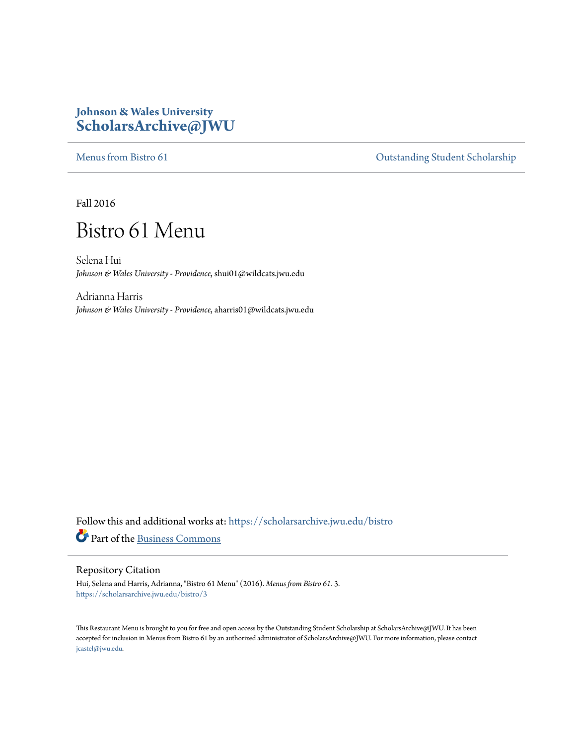### **Johnson & Wales University [ScholarsArchive@JWU](https://scholarsarchive.jwu.edu?utm_source=scholarsarchive.jwu.edu%2Fbistro%2F3&utm_medium=PDF&utm_campaign=PDFCoverPages)**

[Menus from Bistro 61](https://scholarsarchive.jwu.edu/bistro?utm_source=scholarsarchive.jwu.edu%2Fbistro%2F3&utm_medium=PDF&utm_campaign=PDFCoverPages) Contract of Contract of Contract of Contract of Contract of Contract of Contract of Contract of Contract of Contract of Contract of Contract of Contract of Contract of Contract of Contract of Contract

Fall 2016

# Bistro 61 Menu

Selena Hui *Johnson & Wales University - Providence*, shui01@wildcats.jwu.edu

Adrianna Harris *Johnson & Wales University - Providence*, aharris01@wildcats.jwu.edu

Follow this and additional works at: [https://scholarsarchive.jwu.edu/bistro](https://scholarsarchive.jwu.edu/bistro?utm_source=scholarsarchive.jwu.edu%2Fbistro%2F3&utm_medium=PDF&utm_campaign=PDFCoverPages) Part of the [Business Commons](http://network.bepress.com/hgg/discipline/622?utm_source=scholarsarchive.jwu.edu%2Fbistro%2F3&utm_medium=PDF&utm_campaign=PDFCoverPages)

#### Repository Citation

Hui, Selena and Harris, Adrianna, "Bistro 61 Menu" (2016). *Menus from Bistro 61*. 3. [https://scholarsarchive.jwu.edu/bistro/3](https://scholarsarchive.jwu.edu/bistro/3?utm_source=scholarsarchive.jwu.edu%2Fbistro%2F3&utm_medium=PDF&utm_campaign=PDFCoverPages)

This Restaurant Menu is brought to you for free and open access by the Outstanding Student Scholarship at ScholarsArchive@JWU. It has been accepted for inclusion in Menus from Bistro 61 by an authorized administrator of ScholarsArchive@JWU. For more information, please contact [jcastel@jwu.edu.](mailto:jcastel@jwu.edu)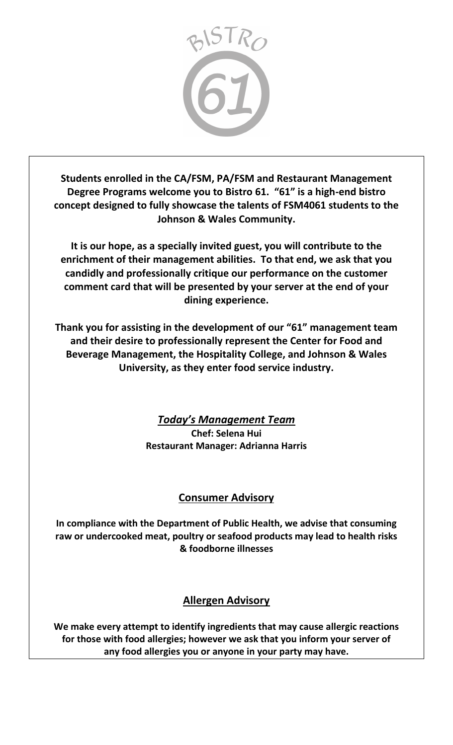

**Students enrolled in the CA/FSM, PA/FSM and Restaurant Management Degree Programs welcome you to Bistro 61. "61" is a high-end bistro concept designed to fully showcase the talents of FSM4061 students to the Johnson & Wales Community.** 

**It is our hope, as a specially invited guest, you will contribute to the enrichment of their management abilities. To that end, we ask that you candidly and professionally critique our performance on the customer comment card that will be presented by your server at the end of your dining experience.** 

**Thank you for assisting in the development of our "61" management team and their desire to professionally represent the Center for Food and Beverage Management, the Hospitality College, and Johnson & Wales University, as they enter food service industry.**

> *Today's Management Team* **Chef: Selena Hui Restaurant Manager: Adrianna Harris**

### **Consumer Advisory**

**In compliance with the Department of Public Health, we advise that consuming raw or undercooked meat, poultry or seafood products may lead to health risks & foodborne illnesses**

## **Allergen Advisory**

**We make every attempt to identify ingredients that may cause allergic reactions for those with food allergies; however we ask that you inform your server of any food allergies you or anyone in your party may have.**